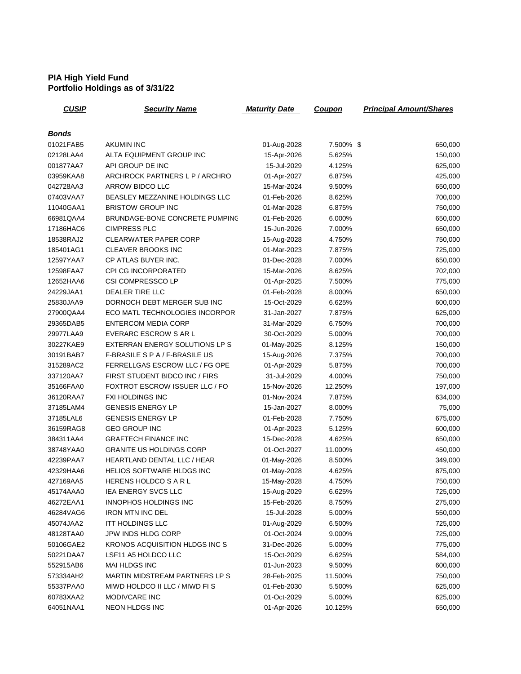## **PIA High Yield Fund Portfolio Holdings as of 3/31/22**

| <u>CUSIP</u>           | <b>Security Name</b>                             | <b>Maturity Date</b>       | <b>Coupon</b>    | <b>Principal Amount/Shares</b> |
|------------------------|--------------------------------------------------|----------------------------|------------------|--------------------------------|
| <b>Bonds</b>           |                                                  |                            |                  |                                |
| 01021FAB5              | <b>AKUMIN INC</b>                                | 01-Aug-2028                | 7.500% \$        | 650,000                        |
| 02128LAA4              | ALTA EQUIPMENT GROUP INC                         | 15-Apr-2026                | 5.625%           | 150,000                        |
| 001877AA7              | API GROUP DE INC                                 | 15-Jul-2029                | 4.125%           | 625,000                        |
| 03959KAA8              | ARCHROCK PARTNERS L P / ARCHRO                   | 01-Apr-2027                | 6.875%           | 425,000                        |
| 042728AA3              | ARROW BIDCO LLC                                  | 15-Mar-2024                | 9.500%           | 650,000                        |
| 07403VAA7              | BEASLEY MEZZANINE HOLDINGS LLC                   | 01-Feb-2026                | 8.625%           |                                |
| 11040GAA1              | <b>BRISTOW GROUP INC</b>                         | 01-Mar-2028                | 6.875%           | 700,000                        |
| 66981QAA4              | BRUNDAGE-BONE CONCRETE PUMPINC                   | 01-Feb-2026                | 6.000%           | 750,000                        |
| 17186HAC6              | <b>CIMPRESS PLC</b>                              | 15-Jun-2026                | 7.000%           | 650,000                        |
| 18538RAJ2              | <b>CLEARWATER PAPER CORP</b>                     |                            |                  | 650,000                        |
|                        |                                                  | 15-Aug-2028                | 4.750%           | 750,000                        |
| 185401AG1<br>12597YAA7 | <b>CLEAVER BROOKS INC</b><br>CP ATLAS BUYER INC. | 01-Mar-2023                | 7.875%           | 725,000                        |
|                        | <b>CPI CG INCORPORATED</b>                       | 01-Dec-2028<br>15-Mar-2026 | 7.000%<br>8.625% | 650,000<br>702,000             |
| 12598FAA7              |                                                  |                            |                  |                                |
| 12652HAA6              | CSI COMPRESSCO LP                                | 01-Apr-2025                | 7.500%           | 775,000                        |
| 24229JAA1              | <b>DEALER TIRE LLC</b>                           | 01-Feb-2028                | 8.000%           | 650,000                        |
| 25830JAA9              | DORNOCH DEBT MERGER SUB INC                      | 15-Oct-2029                | 6.625%           | 600,000                        |
| 27900QAA4              | ECO MATL TECHNOLOGIES INCORPOR                   | 31-Jan-2027                | 7.875%           | 625,000                        |
| 29365DAB5              | <b>ENTERCOM MEDIA CORP</b>                       | 31-Mar-2029                | 6.750%           | 700,000                        |
| 29977LAA9              | <b>EVERARC ESCROW S AR L</b>                     | 30-Oct-2029                | 5.000%           | 700,000                        |
| 30227KAE9              | EXTERRAN ENERGY SOLUTIONS LP S                   | 01-May-2025                | 8.125%           | 150,000                        |
| 30191BAB7              | F-BRASILE S P A / F-BRASILE US                   | 15-Aug-2026                | 7.375%           | 700,000                        |
| 315289AC2              | FERRELLGAS ESCROW LLC / FG OPE                   | 01-Apr-2029                | 5.875%           | 700,000                        |
| 337120AA7              | FIRST STUDENT BIDCO INC / FIRS                   | 31-Jul-2029                | 4.000%           | 750,000                        |
| 35166FAA0              | FOXTROT ESCROW ISSUER LLC / FO                   | 15-Nov-2026                | 12.250%          | 197,000                        |
| 36120RAA7              | <b>FXI HOLDINGS INC</b>                          | 01-Nov-2024                | 7.875%           | 634,000                        |
| 37185LAM4              | <b>GENESIS ENERGY LP</b>                         | 15-Jan-2027                | 8.000%           | 75,000                         |
| 37185LAL6              | <b>GENESIS ENERGY LP</b>                         | 01-Feb-2028                | 7.750%           | 675,000                        |
| 36159RAG8              | <b>GEO GROUP INC</b>                             | 01-Apr-2023                | 5.125%           | 600,000                        |
| 384311AA4              | <b>GRAFTECH FINANCE INC</b>                      | 15-Dec-2028                | 4.625%           | 650,000                        |
| 38748YAA0              | <b>GRANITE US HOLDINGS CORP</b>                  | 01-Oct-2027                | 11.000%          | 450,000                        |
| 42239PAA7              | HEARTLAND DENTAL LLC / HEAR                      | 01-May-2026                | 8.500%           | 349,000                        |
| 42329HAA6              | HELIOS SOFTWARE HLDGS INC                        | 01-May-2028                | 4.625%           | 875,000                        |
| 427169AA5              | HERENS HOLDCO S A R L                            | 15-May-2028                | 4.750%           | 750,000                        |
| 45174AAA0              | IEA ENERGY SVCS LLC                              | 15-Aug-2029                | 6.625%           | 725,000                        |
| 46272EAA1              | <b>INNOPHOS HOLDINGS INC</b>                     | 15-Feb-2026                | 8.750%           | 275,000                        |
| 46284VAG6              | <b>IRON MTN INC DEL</b>                          | 15-Jul-2028                | 5.000%           | 550,000                        |
| 45074JAA2              | <b>ITT HOLDINGS LLC</b>                          | 01-Aug-2029                | 6.500%           | 725,000                        |
| 48128TAA0              | JPW INDS HLDG CORP                               | 01-Oct-2024                | 9.000%           | 725,000                        |
| 50106GAE2              | KRONOS ACQUISITION HLDGS INC S                   | 31-Dec-2026                | 5.000%           | 775,000                        |
| 50221DAA7              | LSF11 A5 HOLDCO LLC                              | 15-Oct-2029                | 6.625%           | 584,000                        |
| 552915AB6              | MAI HLDGS INC                                    | 01-Jun-2023                | 9.500%           | 600,000                        |
| 573334AH2              | MARTIN MIDSTREAM PARTNERS LP S                   | 28-Feb-2025                | 11.500%          | 750,000                        |
| 55337PAA0              | MIWD HOLDCO II LLC / MIWD FI S                   | 01-Feb-2030                | 5.500%           | 625,000                        |
| 60783XAA2              | MODIVCARE INC                                    | 01-Oct-2029                | 5.000%           | 625,000                        |
| 64051NAA1              | NEON HLDGS INC                                   | 01-Apr-2026                | 10.125%          | 650,000                        |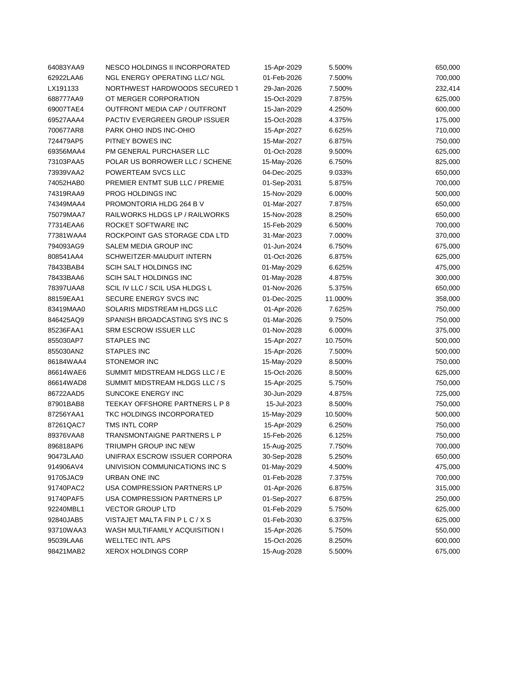| 64083YAA9 | NESCO HOLDINGS II INCORPORATED       | 15-Apr-2029 | 5.500%  | 650,000 |
|-----------|--------------------------------------|-------------|---------|---------|
| 62922LAA6 | <b>NGL ENERGY OPERATING LLC/ NGL</b> | 01-Feb-2026 | 7.500%  | 700,000 |
| LX191133  | NORTHWEST HARDWOODS SECURED 1        | 29-Jan-2026 | 7.500%  | 232,414 |
| 688777AA9 | OT MERGER CORPORATION                | 15-Oct-2029 | 7.875%  | 625,000 |
| 69007TAE4 | OUTFRONT MEDIA CAP / OUTFRONT        | 15-Jan-2029 | 4.250%  | 600,000 |
| 69527AAA4 | <b>PACTIV EVERGREEN GROUP ISSUER</b> | 15-Oct-2028 | 4.375%  | 175,000 |
| 700677AR8 | PARK OHIO INDS INC-OHIO              | 15-Apr-2027 | 6.625%  | 710,000 |
| 724479AP5 | PITNEY BOWES INC                     | 15-Mar-2027 | 6.875%  | 750,000 |
| 69356MAA4 | PM GENERAL PURCHASER LLC             | 01-Oct-2028 | 9.500%  | 625,000 |
| 73103PAA5 | POLAR US BORROWER LLC / SCHENE       | 15-May-2026 | 6.750%  | 825,000 |
| 73939VAA2 | POWERTEAM SVCS LLC                   | 04-Dec-2025 | 9.033%  | 650,000 |
| 74052HAB0 | PREMIER ENTMT SUB LLC / PREMIE       | 01-Sep-2031 | 5.875%  | 700,000 |
| 74319RAA9 | PROG HOLDINGS INC                    | 15-Nov-2029 | 6.000%  | 500,000 |
| 74349MAA4 | PROMONTORIA HLDG 264 B V             | 01-Mar-2027 | 7.875%  | 650,000 |
| 75079MAA7 | RAILWORKS HLDGS LP / RAILWORKS       | 15-Nov-2028 | 8.250%  | 650,000 |
| 77314EAA6 | ROCKET SOFTWARE INC                  | 15-Feb-2029 | 6.500%  | 700,000 |
| 77381WAA4 | ROCKPOINT GAS STORAGE CDA LTD        | 31-Mar-2023 | 7.000%  | 370,000 |
| 794093AG9 | SALEM MEDIA GROUP INC                | 01-Jun-2024 | 6.750%  | 675,000 |
| 808541AA4 | SCHWEITZER-MAUDUIT INTERN            | 01-Oct-2026 | 6.875%  | 625,000 |
| 78433BAB4 | SCIH SALT HOLDINGS INC               | 01-May-2029 | 6.625%  | 475,000 |
| 78433BAA6 | SCIH SALT HOLDINGS INC               | 01-May-2028 | 4.875%  | 300,000 |
| 78397UAA8 | SCIL IV LLC / SCIL USA HLDGS L       | 01-Nov-2026 | 5.375%  | 650,000 |
| 88159EAA1 | SECURE ENERGY SVCS INC               | 01-Dec-2025 | 11.000% | 358,000 |
| 83419MAA0 | SOLARIS MIDSTREAM HLDGS LLC          | 01-Apr-2026 | 7.625%  | 750,000 |
| 846425AQ9 | SPANISH BROADCASTING SYS INC S       | 01-Mar-2026 | 9.750%  | 750,000 |
| 85236FAA1 | SRM ESCROW ISSUER LLC                | 01-Nov-2028 | 6.000%  | 375,000 |
| 855030AP7 | <b>STAPLES INC</b>                   | 15-Apr-2027 | 10.750% | 500,000 |
| 855030AN2 | <b>STAPLES INC</b>                   | 15-Apr-2026 | 7.500%  | 500,000 |
| 86184WAA4 | STONEMOR INC                         | 15-May-2029 | 8.500%  | 750,000 |
| 86614WAE6 | SUMMIT MIDSTREAM HLDGS LLC / E       | 15-Oct-2026 | 8.500%  | 625,000 |
| 86614WAD8 | SUMMIT MIDSTREAM HLDGS LLC / S       | 15-Apr-2025 | 5.750%  | 750,000 |
| 86722AAD5 | SUNCOKE ENERGY INC                   | 30-Jun-2029 | 4.875%  | 725,000 |
| 87901BAB8 | TEEKAY OFFSHORE PARTNERS L P 8       | 15-Jul-2023 | 8.500%  | 750,000 |
| 87256YAA1 | TKC HOLDINGS INCORPORATED            | 15-May-2029 | 10.500% | 500,000 |
| 87261QAC7 | TMS INTL CORP                        | 15-Apr-2029 | 6.250%  | 750,000 |
| 89376VAA8 | TRANSMONTAIGNE PARTNERS L P          | 15-Feb-2026 | 6.125%  | 750,000 |
| 896818AP6 | TRIUMPH GROUP INC NEW                | 15-Aug-2025 | 7.750%  | 700,000 |
| 90473LAA0 | UNIFRAX ESCROW ISSUER CORPORA        | 30-Sep-2028 | 5.250%  | 650,000 |
| 914906AV4 | UNIVISION COMMUNICATIONS INC S       | 01-May-2029 | 4.500%  | 475,000 |
| 91705JAC9 | <b>URBAN ONE INC</b>                 | 01-Feb-2028 | 7.375%  | 700,000 |
| 91740PAC2 | USA COMPRESSION PARTNERS LP          | 01-Apr-2026 | 6.875%  | 315,000 |
| 91740PAF5 | USA COMPRESSION PARTNERS LP          | 01-Sep-2027 | 6.875%  | 250,000 |
| 92240MBL1 | <b>VECTOR GROUP LTD</b>              | 01-Feb-2029 | 5.750%  | 625,000 |
| 92840JAB5 | VISTAJET MALTA FIN P L C / X S       | 01-Feb-2030 | 6.375%  | 625,000 |
| 93710WAA3 | WASH MULTIFAMILY ACQUISITION I       | 15-Apr-2026 | 5.750%  | 550,000 |
| 95039LAA6 | <b>WELLTEC INTL APS</b>              | 15-Oct-2026 | 8.250%  | 600,000 |
| 98421MAB2 | <b>XEROX HOLDINGS CORP</b>           | 15-Aug-2028 | 5.500%  | 675,000 |